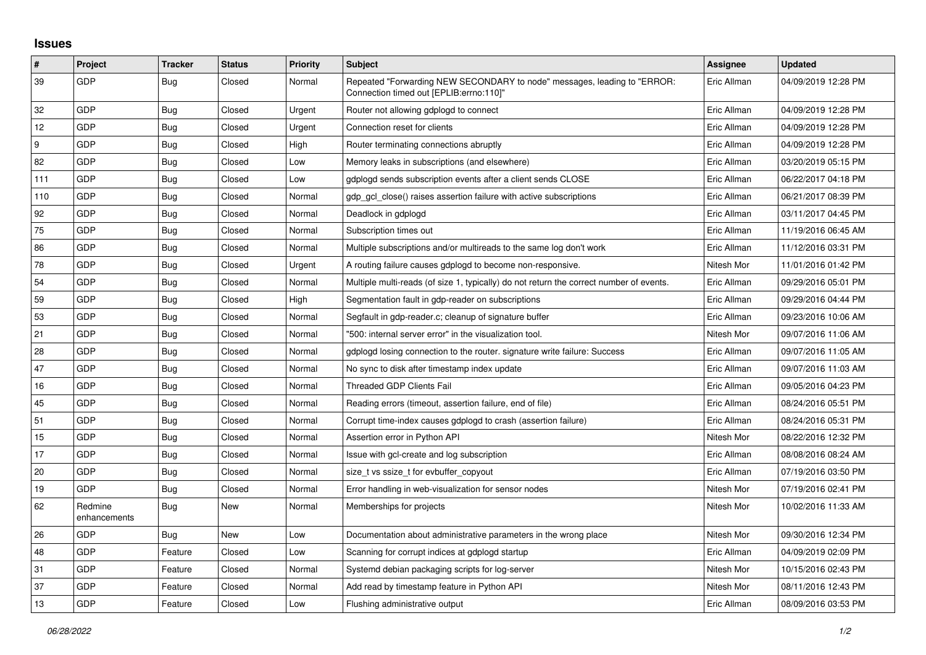## **Issues**

| #   | Project                 | <b>Tracker</b> | <b>Status</b> | Priority | <b>Subject</b>                                                                                                      | <b>Assignee</b> | <b>Updated</b>      |
|-----|-------------------------|----------------|---------------|----------|---------------------------------------------------------------------------------------------------------------------|-----------------|---------------------|
| 39  | GDP                     | <b>Bug</b>     | Closed        | Normal   | Repeated "Forwarding NEW SECONDARY to node" messages, leading to "ERROR:<br>Connection timed out [EPLIB:errno:110]" | Eric Allman     | 04/09/2019 12:28 PM |
| 32  | GDP                     | Bug            | Closed        | Urgent   | Router not allowing gdplogd to connect                                                                              | Eric Allman     | 04/09/2019 12:28 PM |
| 12  | GDP                     | Bug            | Closed        | Urgent   | Connection reset for clients                                                                                        | Eric Allman     | 04/09/2019 12:28 PM |
| 9   | GDP                     | Bug            | Closed        | High     | Router terminating connections abruptly                                                                             | Eric Allman     | 04/09/2019 12:28 PM |
| 82  | GDP                     | <b>Bug</b>     | Closed        | Low      | Memory leaks in subscriptions (and elsewhere)                                                                       | Eric Allman     | 03/20/2019 05:15 PM |
| 111 | GDP                     | <b>Bug</b>     | Closed        | Low      | adpload sends subscription events after a client sends CLOSE                                                        | Eric Allman     | 06/22/2017 04:18 PM |
| 110 | GDP                     | Bug            | Closed        | Normal   | gdp gcl close() raises assertion failure with active subscriptions                                                  | Eric Allman     | 06/21/2017 08:39 PM |
| 92  | GDP                     | <b>Bug</b>     | Closed        | Normal   | Deadlock in gdplogd                                                                                                 | Eric Allman     | 03/11/2017 04:45 PM |
| 75  | GDP                     | <b>Bug</b>     | Closed        | Normal   | Subscription times out                                                                                              | Eric Allman     | 11/19/2016 06:45 AM |
| 86  | GDP                     | Bug            | Closed        | Normal   | Multiple subscriptions and/or multireads to the same log don't work                                                 | Eric Allman     | 11/12/2016 03:31 PM |
| 78  | GDP                     | <b>Bug</b>     | Closed        | Urgent   | A routing failure causes gdplogd to become non-responsive.                                                          | Nitesh Mor      | 11/01/2016 01:42 PM |
| 54  | GDP                     | <b>Bug</b>     | Closed        | Normal   | Multiple multi-reads (of size 1, typically) do not return the correct number of events.                             | Eric Allman     | 09/29/2016 05:01 PM |
| 59  | GDP                     | Bug            | Closed        | High     | Segmentation fault in gdp-reader on subscriptions                                                                   | Eric Allman     | 09/29/2016 04:44 PM |
| 53  | GDP                     | Bug            | Closed        | Normal   | Segfault in gdp-reader.c; cleanup of signature buffer                                                               | Eric Allman     | 09/23/2016 10:06 AM |
| 21  | GDP                     | <b>Bug</b>     | Closed        | Normal   | "500: internal server error" in the visualization tool.                                                             | Nitesh Mor      | 09/07/2016 11:06 AM |
| 28  | GDP                     | Bug            | Closed        | Normal   | gdplogd losing connection to the router. signature write failure: Success                                           | Eric Allman     | 09/07/2016 11:05 AM |
| 47  | GDP                     | <b>Bug</b>     | Closed        | Normal   | No sync to disk after timestamp index update                                                                        | Eric Allman     | 09/07/2016 11:03 AM |
| 16  | GDP                     | <b>Bug</b>     | Closed        | Normal   | <b>Threaded GDP Clients Fail</b>                                                                                    | Eric Allman     | 09/05/2016 04:23 PM |
| 45  | GDP                     | <b>Bug</b>     | Closed        | Normal   | Reading errors (timeout, assertion failure, end of file)                                                            | Eric Allman     | 08/24/2016 05:51 PM |
| 51  | <b>GDP</b>              | Bug            | Closed        | Normal   | Corrupt time-index causes gdplogd to crash (assertion failure)                                                      | Eric Allman     | 08/24/2016 05:31 PM |
| 15  | GDP                     | <b>Bug</b>     | Closed        | Normal   | Assertion error in Python API                                                                                       | Nitesh Mor      | 08/22/2016 12:32 PM |
| 17  | GDP                     | <b>Bug</b>     | Closed        | Normal   | Issue with gcl-create and log subscription                                                                          | Eric Allman     | 08/08/2016 08:24 AM |
| 20  | GDP                     | Bug            | Closed        | Normal   | size t vs ssize t for evbuffer copyout                                                                              | Eric Allman     | 07/19/2016 03:50 PM |
| 19  | GDP                     | Bug            | Closed        | Normal   | Error handling in web-visualization for sensor nodes                                                                | Nitesh Mor      | 07/19/2016 02:41 PM |
| 62  | Redmine<br>enhancements | <b>Bug</b>     | <b>New</b>    | Normal   | Memberships for projects                                                                                            | Nitesh Mor      | 10/02/2016 11:33 AM |
| 26  | GDP                     | <b>Bug</b>     | <b>New</b>    | Low      | Documentation about administrative parameters in the wrong place                                                    | Nitesh Mor      | 09/30/2016 12:34 PM |
| 48  | GDP                     | Feature        | Closed        | Low      | Scanning for corrupt indices at gdplogd startup                                                                     | Eric Allman     | 04/09/2019 02:09 PM |
| 31  | <b>GDP</b>              | Feature        | Closed        | Normal   | Systemd debian packaging scripts for log-server                                                                     | Nitesh Mor      | 10/15/2016 02:43 PM |
| 37  | GDP                     | Feature        | Closed        | Normal   | Add read by timestamp feature in Python API                                                                         | Nitesh Mor      | 08/11/2016 12:43 PM |
| 13  | GDP                     | Feature        | Closed        | Low      | Flushing administrative output                                                                                      | Eric Allman     | 08/09/2016 03:53 PM |